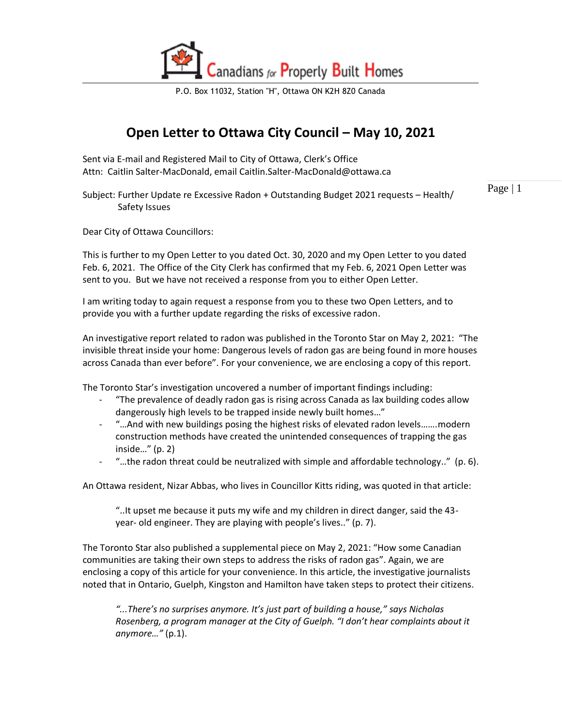

P.O. Box 11032, Station "H", Ottawa ON K2H 8Z0 Canada

## **Open Letter to Ottawa City Council – May 10, 2021**

Sent via E-mail and Registered Mail to City of Ottawa, Clerk's Office Attn: Caitlin Salter-MacDonald, email Caitlin.Salter-MacDonald@ottawa.ca

Subject: Further Update re Excessive Radon + Outstanding Budget 2021 requests – Health/ Safety Issues

Page  $|1$ 

Dear City of Ottawa Councillors:

This is further to my Open Letter to you dated Oct. 30, 2020 and my Open Letter to you dated Feb. 6, 2021. The Office of the City Clerk has confirmed that my Feb. 6, 2021 Open Letter was sent to you. But we have not received a response from you to either Open Letter.

I am writing today to again request a response from you to these two Open Letters, and to provide you with a further update regarding the risks of excessive radon.

An investigative report related to radon was published in the Toronto Star on May 2, 2021: "The invisible threat inside your home: Dangerous levels of radon gas are being found in more houses across Canada than ever before". For your convenience, we are enclosing a copy of this report.

The Toronto Star's investigation uncovered a number of important findings including:

- "The prevalence of deadly radon gas is rising across Canada as lax building codes allow dangerously high levels to be trapped inside newly built homes…"
- "... And with new buildings posing the highest risks of elevated radon levels....... modern construction methods have created the unintended consequences of trapping the gas inside…" (p. 2)
- "…the radon threat could be neutralized with simple and affordable technology.." (p. 6).

An Ottawa resident, Nizar Abbas, who lives in Councillor Kitts riding, was quoted in that article:

"..It upset me because it puts my wife and my children in direct danger, said the 43 year- old engineer. They are playing with people's lives.." (p. 7).

The Toronto Star also published a supplemental piece on May 2, 2021: "How some Canadian communities are taking their own steps to address the risks of radon gas". Again, we are enclosing a copy of this article for your convenience. In this article, the investigative journalists noted that in Ontario, Guelph, Kingston and Hamilton have taken steps to protect their citizens.

*"...There's no surprises anymore. It's just part of building a house," says Nicholas Rosenberg, a program manager at the City of Guelph. "I don't hear complaints about it anymore…"* (p.1).